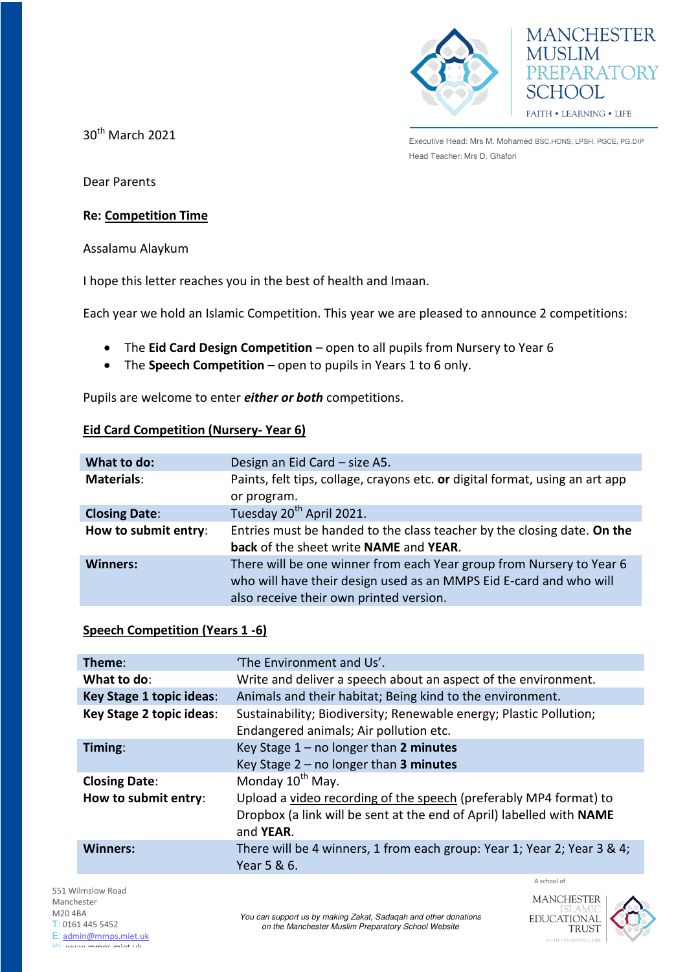



30th March 2021

Executive Head: Mrs M. Mohamed BSC.HONS, LPSH, PGCE, PG.DIP Head Teacher: Mrs D. Ghafori

Dear Parents

## **Re: Competition Time**

Assalamu Alaykum

I hope this letter reaches you in the best of health and Imaan.

Each year we hold an Islamic Competition. This year we are pleased to announce 2 competitions:

- The **Eid Card Design Competition** open to all pupils from Nursery to Year 6
- The **Speech Competition** open to pupils in Years 1 to 6 only.

Pupils are welcome to enter *either or both* competitions.

## **Eid Card Competition (Nursery- Year 6)**

| What to do:          | Design an Eid Card - size A5.                                                |
|----------------------|------------------------------------------------------------------------------|
| <b>Materials:</b>    | Paints, felt tips, collage, crayons etc. or digital format, using an art app |
|                      | or program.                                                                  |
| <b>Closing Date:</b> | Tuesday 20 <sup>th</sup> April 2021.                                         |
| How to submit entry: | Entries must be handed to the class teacher by the closing date. On the      |
|                      | back of the sheet write NAME and YEAR.                                       |
| <b>Winners:</b>      | There will be one winner from each Year group from Nursery to Year 6         |
|                      | who will have their design used as an MMPS Eid E-card and who will           |
|                      | also receive their own printed version.                                      |

## **Speech Competition (Years 1 -6)**

| Theme:                                       | 'The Environment and Us'.                                                                                                                                                                      |  |
|----------------------------------------------|------------------------------------------------------------------------------------------------------------------------------------------------------------------------------------------------|--|
| What to do:                                  | Write and deliver a speech about an aspect of the environment.                                                                                                                                 |  |
| <b>Key Stage 1 topic ideas:</b>              | Animals and their habitat; Being kind to the environment.                                                                                                                                      |  |
| Key Stage 2 topic ideas:                     | Sustainability; Biodiversity; Renewable energy; Plastic Pollution;<br>Endangered animals; Air pollution etc.                                                                                   |  |
| Timing:                                      | Key Stage $1 - no longer than 2 minutes$<br>Key Stage $2$ – no longer than 3 minutes                                                                                                           |  |
| <b>Closing Date:</b><br>How to submit entry: | Monday 10 <sup>th</sup> May.<br>Upload a video recording of the speech (preferably MP4 format) to<br>Dropbox (a link will be sent at the end of April) labelled with NAME<br>and <b>YEAR</b> . |  |
| <b>Winners:</b>                              | There will be 4 winners, 1 from each group: Year 1; Year 2; Year 3 & 4;<br>Year 5 & 6.                                                                                                         |  |

551 Wilmslow Road Manchester M20 4BA T: 0161 445 5452 E: [admin@mmps.miet.uk](mailto:admin@mmps.miet.uk) W: www.mmps.miet.uk

A school of